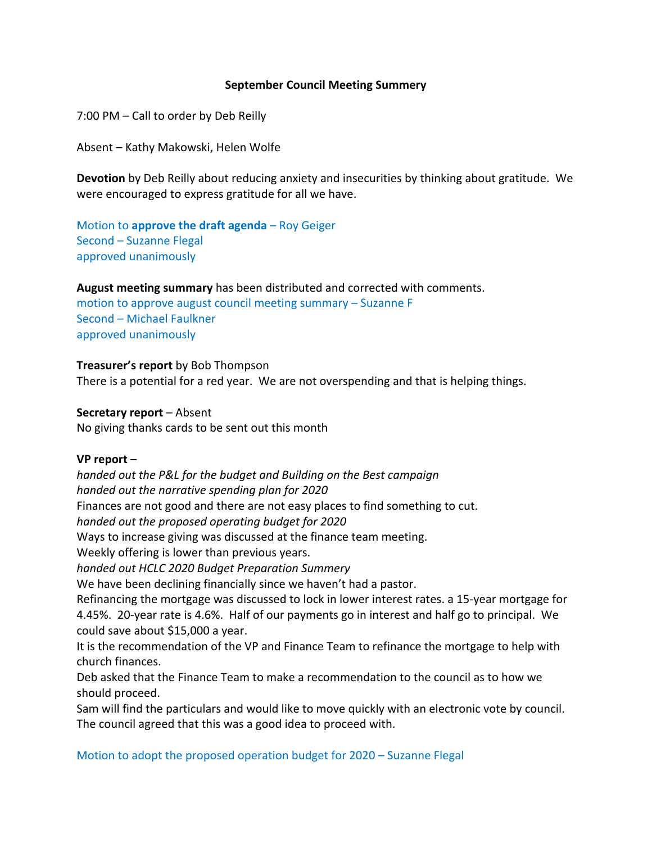# **September Council Meeting Summery**

7:00 PM – Call to order by Deb Reilly

Absent – Kathy Makowski, Helen Wolfe

**Devotion** by Deb Reilly about reducing anxiety and insecurities by thinking about gratitude. We were encouraged to express gratitude for all we have.

Motion to **approve the draft agenda** – Roy Geiger Second – Suzanne Flegal approved unanimously

**August meeting summary** has been distributed and corrected with comments.

motion to approve august council meeting summary – Suzanne F Second – Michael Faulkner approved unanimously

## **Treasurer's report** by Bob Thompson

There is a potential for a red year. We are not overspending and that is helping things.

#### **Secretary report** – Absent

No giving thanks cards to be sent out this month

#### **VP report** –

*handed out the P&L for the budget and Building on the Best campaign handed out the narrative spending plan for 2020* Finances are not good and there are not easy places to find something to cut. *handed out the proposed operating budget for 2020* Ways to increase giving was discussed at the finance team meeting. Weekly offering is lower than previous years. *handed out HCLC 2020 Budget Preparation Summery* We have been declining financially since we haven't had a pastor. Refinancing the mortgage was discussed to lock in lower interest rates. a 15-year mortgage for 4.45%. 20-year rate is 4.6%. Half of our payments go in interest and half go to principal. We could save about \$15,000 a year. It is the recommendation of the VP and Finance Team to refinance the mortgage to help with

church finances. Deb asked that the Finance Team to make a recommendation to the council as to how we

should proceed.

Sam will find the particulars and would like to move quickly with an electronic vote by council. The council agreed that this was a good idea to proceed with.

Motion to adopt the proposed operation budget for 2020 – Suzanne Flegal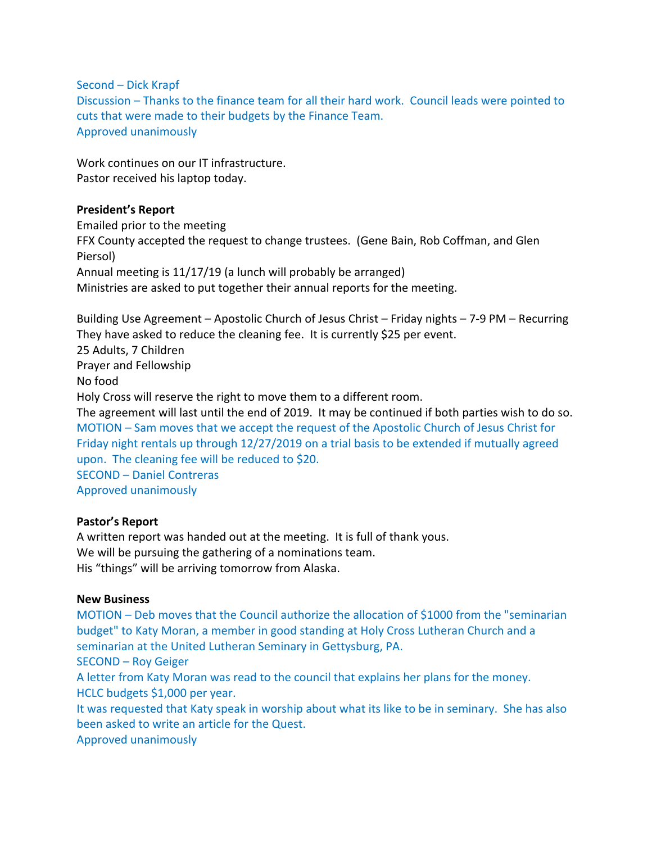Second – Dick Krapf

Discussion – Thanks to the finance team for all their hard work. Council leads were pointed to cuts that were made to their budgets by the Finance Team. Approved unanimously

Work continues on our IT infrastructure. Pastor received his laptop today.

# **President's Report**

Emailed prior to the meeting FFX County accepted the request to change trustees. (Gene Bain, Rob Coffman, and Glen Piersol) Annual meeting is 11/17/19 (a lunch will probably be arranged) Ministries are asked to put together their annual reports for the meeting.

Building Use Agreement – Apostolic Church of Jesus Christ – Friday nights – 7-9 PM – Recurring They have asked to reduce the cleaning fee. It is currently \$25 per event. 25 Adults, 7 Children Prayer and Fellowship No food Holy Cross will reserve the right to move them to a different room. The agreement will last until the end of 2019. It may be continued if both parties wish to do so. MOTION – Sam moves that we accept the request of the Apostolic Church of Jesus Christ for Friday night rentals up through 12/27/2019 on a trial basis to be extended if mutually agreed upon. The cleaning fee will be reduced to \$20. SECOND – Daniel Contreras Approved unanimously

# **Pastor's Report**

A written report was handed out at the meeting. It is full of thank yous. We will be pursuing the gathering of a nominations team. His "things" will be arriving tomorrow from Alaska.

#### **New Business**

MOTION – Deb moves that the Council authorize the allocation of \$1000 from the "seminarian budget" to Katy Moran, a member in good standing at Holy Cross Lutheran Church and a seminarian at the United Lutheran Seminary in Gettysburg, PA. SECOND – Roy Geiger A letter from Katy Moran was read to the council that explains her plans for the money. HCLC budgets \$1,000 per year. It was requested that Katy speak in worship about what its like to be in seminary. She has also been asked to write an article for the Quest.

Approved unanimously